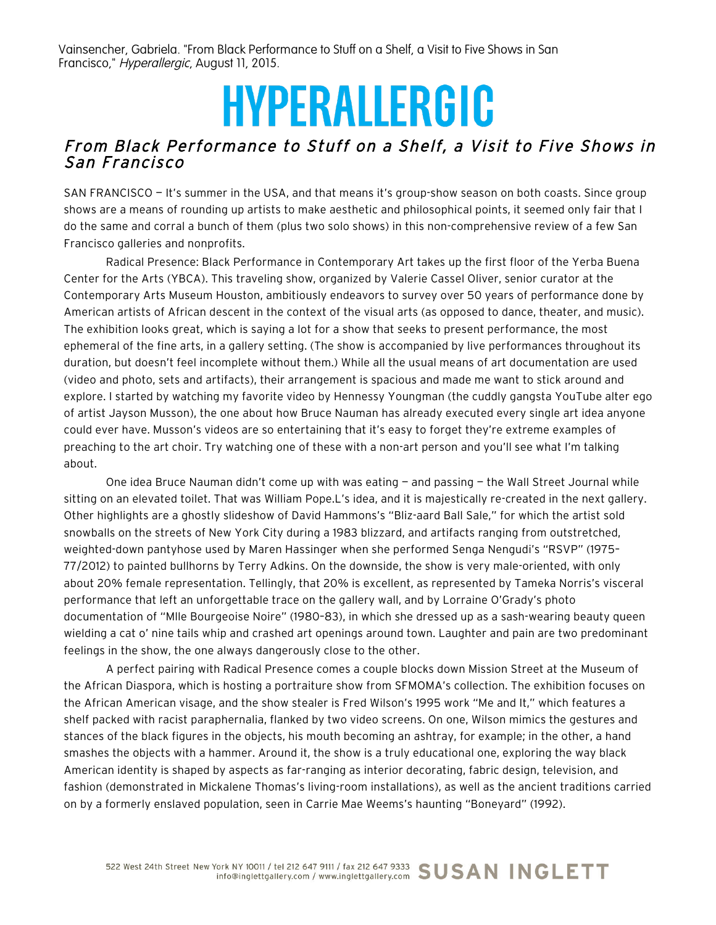Vainsencher, Gabriela. "From Black Performance to Stuff on a Shelf, a Visit to Five Shows in San Francisco," Hyperallergic, August 11, 2015.

## **HYPERALLERGIC**

## From Black Performance to Stuff on a Shelf, a Visit to Five Shows in San Francisco

SAN FRANCISCO — It's summer in the USA, and that means it's group-show season on both coasts. Since group shows are a means of rounding up artists to make aesthetic and philosophical points, it seemed only fair that I do the same and corral a bunch of them (plus two solo shows) in this non-comprehensive review of a few San Francisco galleries and nonprofits.

Radical Presence: Black Performance in Contemporary Art takes up the first floor of the Yerba Buena Center for the Arts (YBCA). This traveling show, organized by Valerie Cassel Oliver, senior curator at the Contemporary Arts Museum Houston, ambitiously endeavors to survey over 50 years of performance done by American artists of African descent in the context of the visual arts (as opposed to dance, theater, and music). The exhibition looks great, which is saying a lot for a show that seeks to present performance, the most ephemeral of the fine arts, in a gallery setting. (The show is accompanied by live performances throughout its duration, but doesn't feel incomplete without them.) While all the usual means of art documentation are used (video and photo, sets and artifacts), their arrangement is spacious and made me want to stick around and explore. I started by watching my favorite video by Hennessy Youngman (the cuddly gangsta YouTube alter ego of artist Jayson Musson), the one about how Bruce Nauman has already executed every single art idea anyone could ever have. Musson's videos are so entertaining that it's easy to forget they're extreme examples of preaching to the art choir. Try watching one of these with a non-art person and you'll see what I'm talking about.

One idea Bruce Nauman didn't come up with was eating — and passing — the Wall Street Journal while sitting on an elevated toilet. That was William Pope.L's idea, and it is majestically re-created in the next gallery. Other highlights are a ghostly slideshow of David Hammons's "Bliz-aard Ball Sale," for which the artist sold snowballs on the streets of New York City during a 1983 blizzard, and artifacts ranging from outstretched, weighted-down pantyhose used by Maren Hassinger when she performed Senga Nengudi's "RSVP" (1975– 77/2012) to painted bullhorns by Terry Adkins. On the downside, the show is very male-oriented, with only about 20% female representation. Tellingly, that 20% is excellent, as represented by Tameka Norris's visceral performance that left an unforgettable trace on the gallery wall, and by Lorraine O'Grady's photo documentation of "Mlle Bourgeoise Noire" (1980–83), in which she dressed up as a sash-wearing beauty queen wielding a cat o' nine tails whip and crashed art openings around town. Laughter and pain are two predominant feelings in the show, the one always dangerously close to the other.

A perfect pairing with Radical Presence comes a couple blocks down Mission Street at the Museum of the African Diaspora, which is hosting a portraiture show from SFMOMA's collection. The exhibition focuses on the African American visage, and the show stealer is Fred Wilson's 1995 work "Me and It," which features a shelf packed with racist paraphernalia, flanked by two video screens. On one, Wilson mimics the gestures and stances of the black figures in the objects, his mouth becoming an ashtray, for example; in the other, a hand smashes the objects with a hammer. Around it, the show is a truly educational one, exploring the way black American identity is shaped by aspects as far-ranging as interior decorating, fabric design, television, and fashion (demonstrated in Mickalene Thomas's living-room installations), as well as the ancient traditions carried on by a formerly enslaved population, seen in Carrie Mae Weems's haunting "Boneyard" (1992).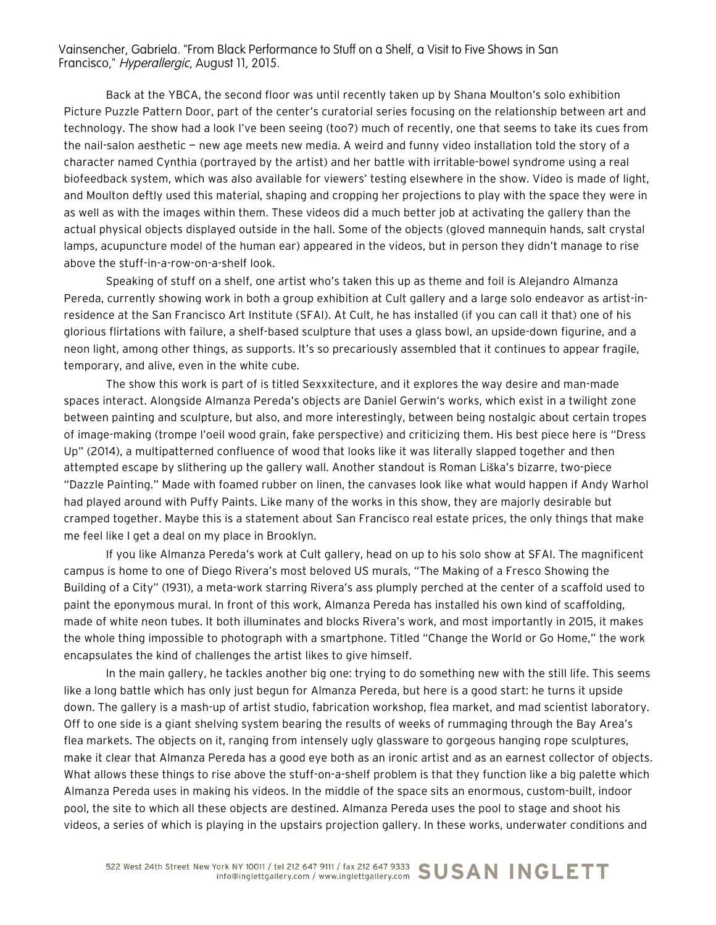Vainsencher, Gabriela. "From Black Performance to Stuff on a Shelf, a Visit to Five Shows in San Francisco," Hyperallergic, August 11, 2015.

Back at the YBCA, the second floor was until recently taken up by Shana Moulton's solo exhibition Picture Puzzle Pattern Door, part of the center's curatorial series focusing on the relationship between art and technology. The show had a look I've been seeing (too?) much of recently, one that seems to take its cues from the nail-salon aesthetic — new age meets new media. A weird and funny video installation told the story of a character named Cynthia (portrayed by the artist) and her battle with irritable-bowel syndrome using a real biofeedback system, which was also available for viewers' testing elsewhere in the show. Video is made of light, and Moulton deftly used this material, shaping and cropping her projections to play with the space they were in as well as with the images within them. These videos did a much better job at activating the gallery than the actual physical objects displayed outside in the hall. Some of the objects (gloved mannequin hands, salt crystal lamps, acupuncture model of the human ear) appeared in the videos, but in person they didn't manage to rise above the stuff-in-a-row-on-a-shelf look.

Speaking of stuff on a shelf, one artist who's taken this up as theme and foil is Alejandro Almanza Pereda, currently showing work in both a group exhibition at Cult gallery and a large solo endeavor as artist-inresidence at the San Francisco Art Institute (SFAI). At Cult, he has installed (if you can call it that) one of his glorious flirtations with failure, a shelf-based sculpture that uses a glass bowl, an upside-down figurine, and a neon light, among other things, as supports. It's so precariously assembled that it continues to appear fragile, temporary, and alive, even in the white cube.

The show this work is part of is titled Sexxxitecture, and it explores the way desire and man-made spaces interact. Alongside Almanza Pereda's objects are Daniel Gerwin's works, which exist in a twilight zone between painting and sculpture, but also, and more interestingly, between being nostalgic about certain tropes of image-making (trompe l'oeil wood grain, fake perspective) and criticizing them. His best piece here is "Dress Up" (2014), a multipatterned confluence of wood that looks like it was literally slapped together and then attempted escape by slithering up the gallery wall. Another standout is Roman Liška's bizarre, two-piece "Dazzle Painting." Made with foamed rubber on linen, the canvases look like what would happen if Andy Warhol had played around with Puffy Paints. Like many of the works in this show, they are majorly desirable but cramped together. Maybe this is a statement about San Francisco real estate prices, the only things that make me feel like I get a deal on my place in Brooklyn.

If you like Almanza Pereda's work at Cult gallery, head on up to his solo show at SFAI. The magnificent campus is home to one of Diego Rivera's most beloved US murals, "The Making of a Fresco Showing the Building of a City" (1931), a meta-work starring Rivera's ass plumply perched at the center of a scaffold used to paint the eponymous mural. In front of this work, Almanza Pereda has installed his own kind of scaffolding, made of white neon tubes. It both illuminates and blocks Rivera's work, and most importantly in 2015, it makes the whole thing impossible to photograph with a smartphone. Titled "Change the World or Go Home," the work encapsulates the kind of challenges the artist likes to give himself.

In the main gallery, he tackles another big one: trying to do something new with the still life. This seems like a long battle which has only just begun for Almanza Pereda, but here is a good start: he turns it upside down. The gallery is a mash-up of artist studio, fabrication workshop, flea market, and mad scientist laboratory. Off to one side is a giant shelving system bearing the results of weeks of rummaging through the Bay Area's flea markets. The objects on it, ranging from intensely ugly glassware to gorgeous hanging rope sculptures, make it clear that Almanza Pereda has a good eye both as an ironic artist and as an earnest collector of objects. What allows these things to rise above the stuff-on-a-shelf problem is that they function like a big palette which Almanza Pereda uses in making his videos. In the middle of the space sits an enormous, custom-built, indoor pool, the site to which all these objects are destined. Almanza Pereda uses the pool to stage and shoot his videos, a series of which is playing in the upstairs projection gallery. In these works, underwater conditions and